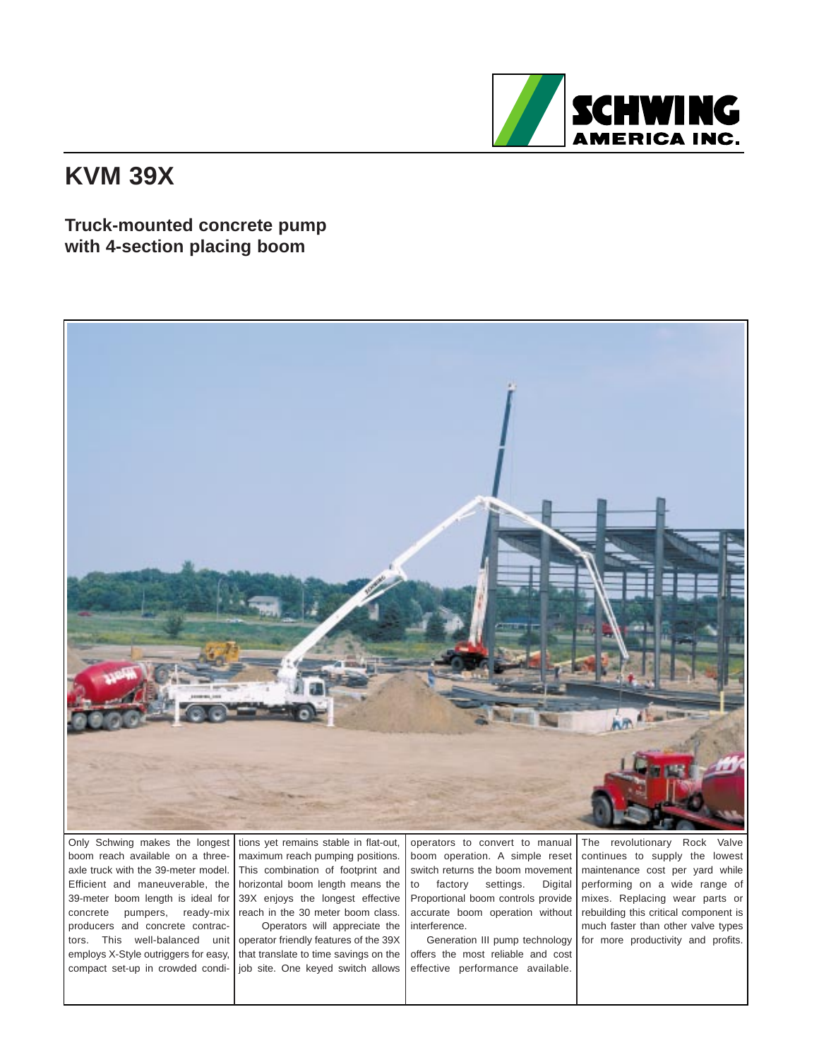

## **KVM 39X**

## **Truck-mounted concrete pump with 4-section placing boom**



Only Schwing makes the longest boom reach available on a threeaxle truck with the 39-meter model. Efficient and maneuverable, the 39-meter boom length is ideal for concrete pumpers, ready-mix producers and concrete contractors. This well-balanced unit employs X-Style outriggers for easy, compact set-up in crowded condi-

tions yet remains stable in flat-out, maximum reach pumping positions. This combination of footprint and horizontal boom length means the 39X enjoys the longest effective reach in the 30 meter boom class. Operators will appreciate the

operator friendly features of the 39X that translate to time savings on the job site. One keyed switch allows operators to convert to manual boom operation. A simple reset switch returns the boom movement to factory settings. Digital Proportional boom controls provide accurate boom operation without interference.

Generation III pump technology offers the most reliable and cost effective performance available.

The revolutionary Rock Valve continues to supply the lowest maintenance cost per yard while performing on a wide range of mixes. Replacing wear parts or rebuilding this critical component is much faster than other valve types for more productivity and profits.